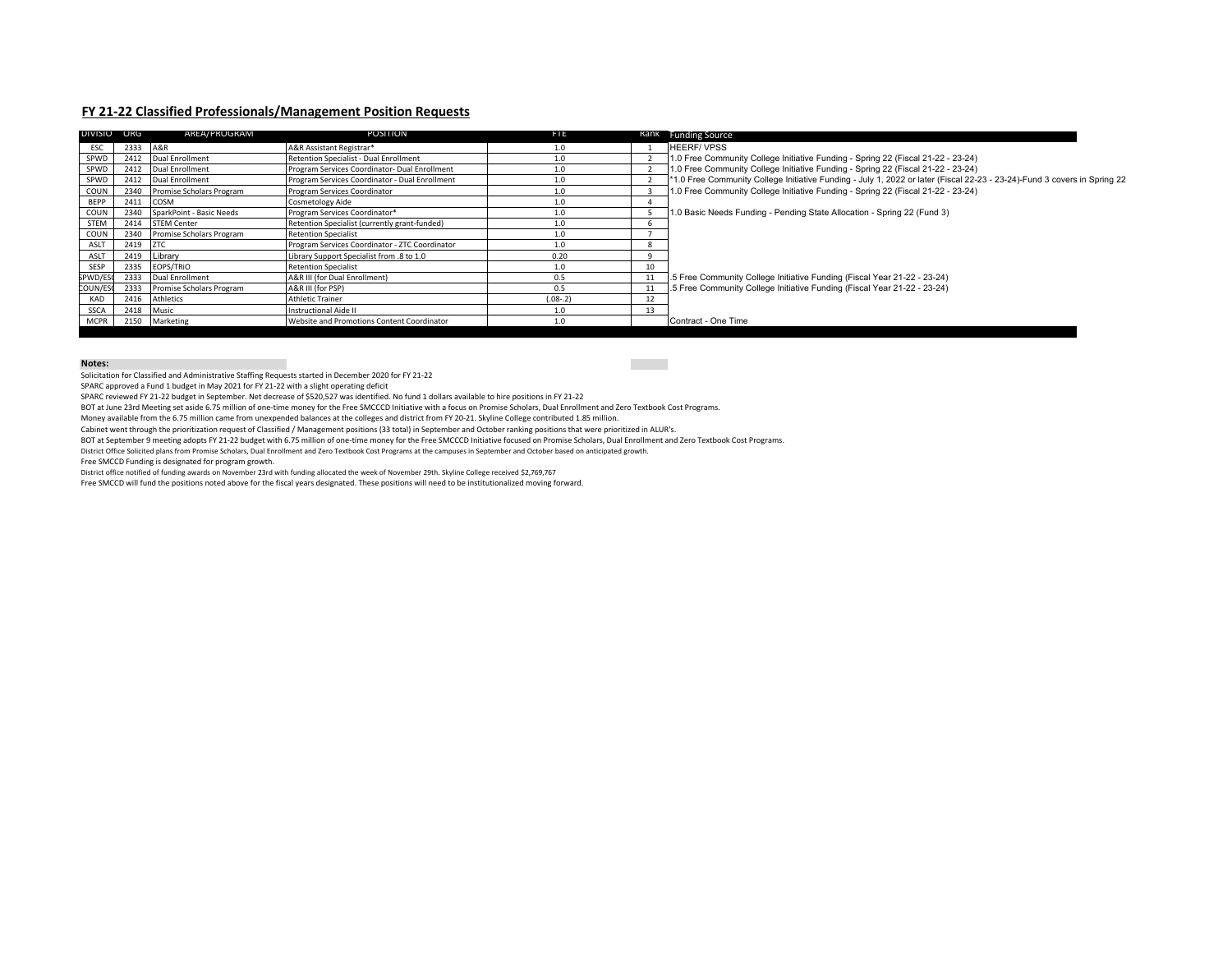#### **FY 21-22 Classified Professionals/Management Position Requests**

| <b>DIVIDIO OKG</b> |          | <b>AKEA/PRUGRAIVI</b>    | <b>PUSITIUN</b>                                | FIE        | капк | <b>Funding Source</b>                                                                                                    |
|--------------------|----------|--------------------------|------------------------------------------------|------------|------|--------------------------------------------------------------------------------------------------------------------------|
| ESC                | 2333 A&R |                          | A&R Assistant Registrar*                       | 1.0        |      | <b>HEERF/VPSS</b>                                                                                                        |
| SPWD               | 2412     | Dual Enrollment          | Retention Specialist - Dual Enrollment         | 1.0        |      | 1.0 Free Community College Initiative Funding - Spring 22 (Fiscal 21-22 - 23-24)                                         |
| SPWD               | 2412     | Dual Enrollment          | Program Services Coordinator- Dual Enrollment  | 1.0        |      | 1.0 Free Community College Initiative Funding - Spring 22 (Fiscal 21-22 - 23-24)                                         |
| SPWD               | 2412     | Dual Enrollment          | Program Services Coordinator - Dual Enrollment | 1.0        |      | 1.0 Free Community College Initiative Funding - July 1, 2022 or later (Fiscal 22-23 - 23-24)-Fund 3 covers in Spring 22* |
| COUN               | 2340     | Promise Scholars Program | Program Services Coordinator                   | 1.0        |      | 1.0 Free Community College Initiative Funding - Spring 22 (Fiscal 21-22 - 23-24)                                         |
| BEPP               | 2411     | COSM                     | Cosmetology Aide                               |            |      |                                                                                                                          |
| COUN               | 2340     | SparkPoint - Basic Needs | Program Services Coordinator*                  | 1.0        |      | 1.0 Basic Needs Funding - Pending State Allocation - Spring 22 (Fund 3)                                                  |
| STEM               |          | 2414 STEM Center         | Retention Specialist (currently grant-funded)  | 1.0        |      |                                                                                                                          |
| COUN               | 2340     | Promise Scholars Program | <b>Retention Specialist</b>                    | 1.0        |      |                                                                                                                          |
| ASLT               | 2419     | <b>ZTC</b>               | Program Services Coordinator - ZTC Coordinator | 1.0        |      |                                                                                                                          |
| ASLT               | 2419     | Library                  | Library Support Specialist from .8 to 1.0      | 0.20       |      |                                                                                                                          |
| SESP               | 2335     | EOPS/TRIO                | <b>Retention Specialist</b>                    | 1.0        |      |                                                                                                                          |
| SPWD/ES            | 2333     | Dual Enrollment          | A&R III (for Dual Enrollment)                  | 0.5        |      | .5 Free Community College Initiative Funding (Fiscal Year 21-22 - 23-24)                                                 |
| COUN/ESO           | 2333     | Promise Scholars Program | A&R III (for PSP)                              | 0.5        |      | .5 Free Community College Initiative Funding (Fiscal Year 21-22 - 23-24)                                                 |
| KAD                | 2416     | Athletics                | <b>Athletic Trainer</b>                        | $(.08-.2)$ |      |                                                                                                                          |
| SSCA               | 2418     | Music                    | <b>Instructional Aide II</b>                   | 1.0        | 13   |                                                                                                                          |
| <b>MCPR</b>        | 2150     | Marketing                | Website and Promotions Content Coordinator     | 1.0        |      | Contract - One Time                                                                                                      |

#### **Notes:**

Solicitation for Classified and Administrative Staffing Requests started in December 2020 for FY 21-22

SPARC approved a Fund 1 budget in May 2021 for FY 21-22 with a slight operating deficit

SPARC reviewed FY 21-22 budget in September. Net decrease of \$520,527 was identified. No fund 1 dollars available to hire positions in FY 21-22

BOT at June 23rd Meeting set aside 6.75 million of one-time money for the Free SMCCCD Initiative with a focus on Promise Scholars, Dual Enrollment and Zero Textbook Cost Programs.

Money available from the 6.75 million came from unexpended balances at the colleges and district from FY 20-21. Skyline College contributed 1.85 million.

Cabinet went through the prioritization request of Classified / Management positions (33 total) in September and October ranking positions that were prioritized in ALUR's.

BOT at September 9 meeting adopts FY 21-22 budget with 6.75 million of one-time money for the Free SMCCCD Initiative focused on Promise Scholars, Dual Enrollment and Zero Textbook Cost Programs.

District Office Solicited plans from Promise Scholars, Dual Enrollment and Zero Textbook Cost Programs at the campuses in September and October based on anticipated growth.

Free SMCCD Funding is designated for program growth.

District office notified of funding awards on November 23rd with funding allocated the week of November 29th. Skyline College received \$2,769,767

Free SMCCD will fund the positions noted above for the fiscal years designated. These positions will need to be institutionalized moving forward.

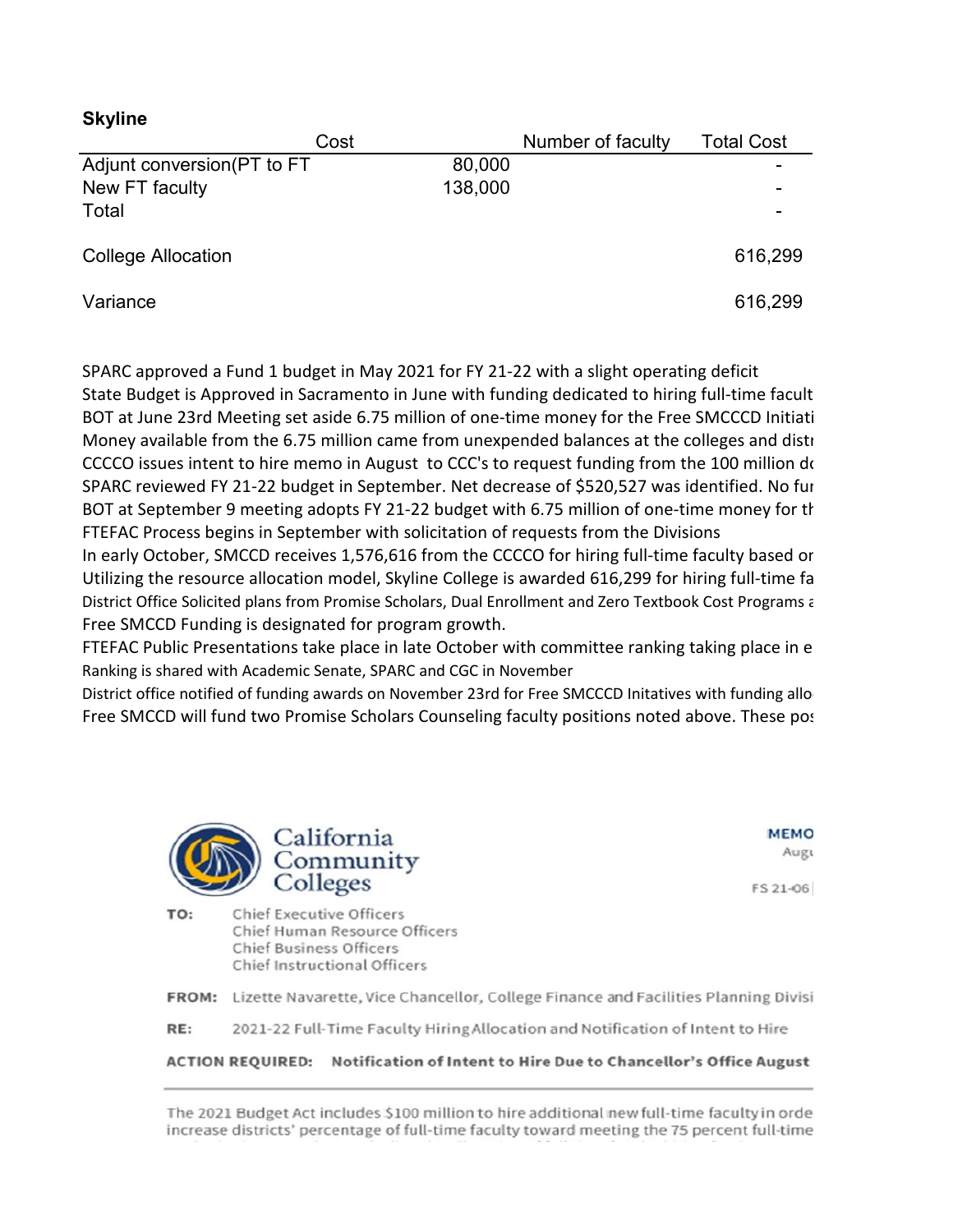| --------                    |         |                   |                   |
|-----------------------------|---------|-------------------|-------------------|
|                             | Cost    | Number of faculty | <b>Total Cost</b> |
| Adjunt conversion (PT to FT | 80,000  |                   |                   |
| New FT faculty              | 138,000 |                   |                   |
| Total                       |         |                   |                   |
|                             |         |                   |                   |
| <b>College Allocation</b>   |         |                   | 616,299           |
|                             |         |                   |                   |
| Variance                    |         |                   | 616,299           |

SPARC approved a Fund 1 budget in May 2021 for FY 21-22 with a slight operating deficit State Budget is Approved in Sacramento in June with funding dedicated to hiring full-time facult BOT at June 23rd Meeting set aside 6.75 million of one-time money for the Free SMCCCD Initiati Money available from the 6.75 million came from unexpended balances at the colleges and distr CCCCO issues intent to hire memo in August to CCC's to request funding from the 100 million do SPARC reviewed FY 21-22 budget in September. Net decrease of \$520,527 was identified. No fun BOT at September 9 meeting adopts FY 21-22 budget with 6.75 million of one-time money for th FTEFAC Process begins in September with solicitation of requests from the Divisions

In early October, SMCCD receives 1,576,616 from the CCCCO for hiring full-time faculty based on Utilizing the resource allocation model, Skyline College is awarded 616,299 for hiring full-time fa District Office Solicited plans from Promise Scholars, Dual Enrollment and Zero Textbook Cost Programs a Free SMCCD Funding is designated for program growth.

FTEFAC Public Presentations take place in late October with committee ranking taking place in e Ranking is shared with Academic Senate, SPARC and CGC in November

District office notified of funding awards on November 23rd for Free SMCCCD Initatives with funding allo Free SMCCD will fund two Promise Scholars Counseling faculty positions noted above. These pos



**Skyline**

**MEMO** Augu

FS 21-06

**Chief Executive Officers** TO: Chief Human Resource Officers **Chief Business Officers** Chief Instructional Officers

FROM: Lizette Navarette, Vice Chancellor, College Finance and Facilities Planning Divisi

2021-22 Full-Time Faculty Hiring Allocation and Notification of Intent to Hire RE:

ACTION REQUIRED: Notification of Intent to Hire Due to Chancellor's Office August

The 2021 Budget Act includes \$100 million to hire additional new full-time faculty in orde increase districts' percentage of full-time faculty toward meeting the 75 percent full-time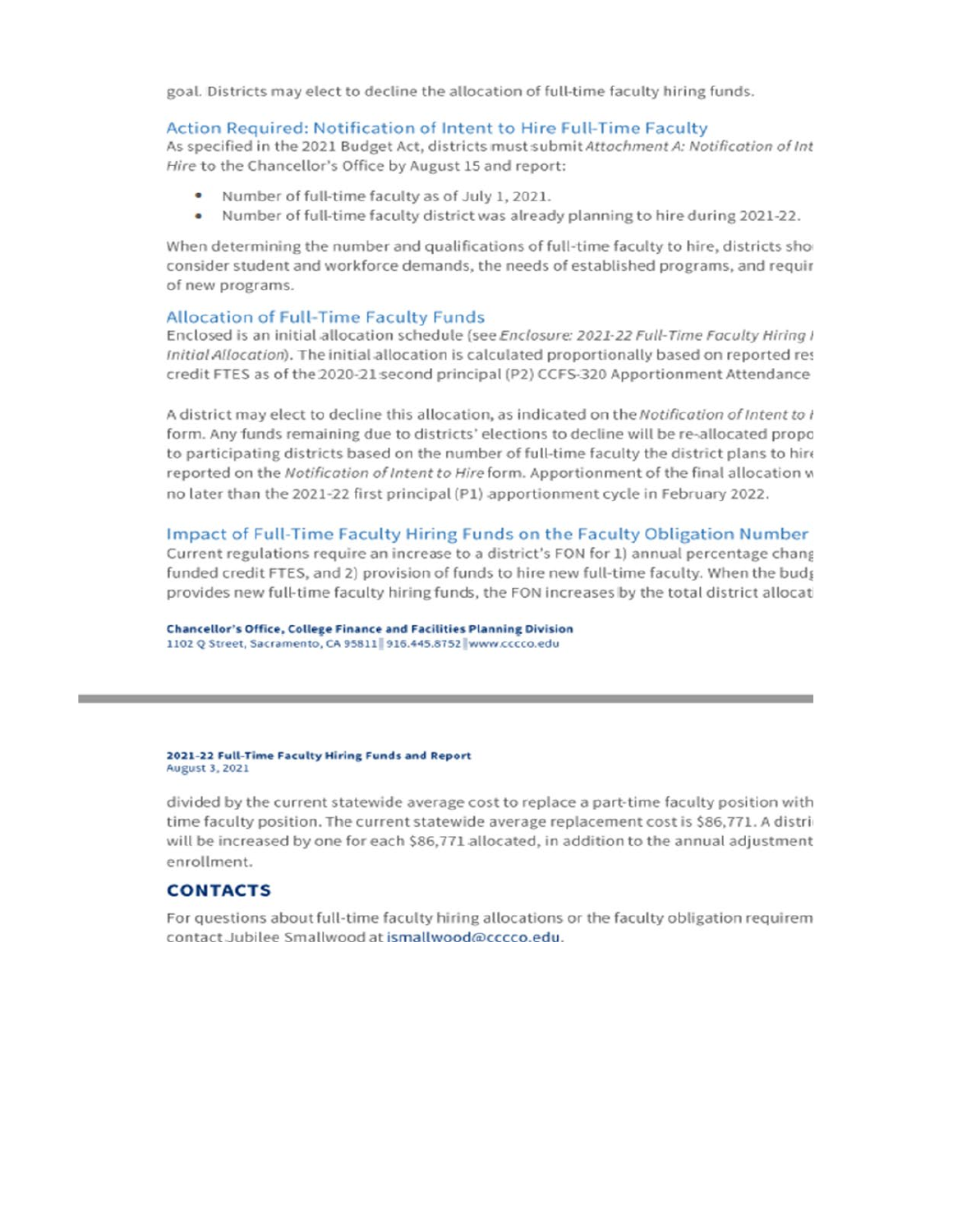goal. Districts may elect to decline the allocation of full-time faculty hiring funds.

#### Action Required: Notification of Intent to Hire Full-Time Faculty

As specified in the 2021 Budget Act, districts must submit Attachment A: Notification of Int Hire to the Chancellor's Office by August 15 and report:

- Number of full-time faculty as of July 1, 2021.
- Number of full-time faculty district was already planning to hire during 2021-22.

When determining the number and qualifications of full-time faculty to hire, districts sho consider student and workforce demands, the needs of established programs, and requir of new programs.

#### **Allocation of Full-Time Faculty Funds**

Enclosed is an initial allocation schedule (see Enclosure: 2021-22 Full-Time Faculty Hiring I Initial Allocation). The initial allocation is calculated proportionally based on reported res credit FTES as of the 2020-21 second principal (P2) CCFS-320 Apportionment Attendance

A district may elect to decline this allocation, as indicated on the Notification of Intent to I form. Any funds remaining due to districts' elections to decline will be re-allocated propo to participating districts based on the number of full-time faculty the district plans to hire reported on the Notification of Intent to Hire form. Apportionment of the final allocation w no later than the 2021-22 first principal (P1) apportionment cycle in February 2022.

### Impact of Full-Time Faculty Hiring Funds on the Faculty Obligation Number

Current regulations require an increase to a district's FON for 1) annual percentage chang funded credit FTES, and 2) provision of funds to hire new full-time faculty. When the budg provides new full-time faculty hiring funds, the FON increases by the total district allocati

**Chancellor's Office, College Finance and Facilities Planning Division** 1102 Q Street, Sacramento, CA 95811 916.445.8752 www.cccco.edu

#### 2021-22 Full-Time Faculty Hiring Funds and Report August 3, 2021

divided by the current statewide average cost to replace a part-time faculty position with time faculty position. The current statewide average replacement cost is \$86,771. A distriwill be increased by one for each \$86,771 allocated, in addition to the annual adjustment enrollment.

## **CONTACTS**

For questions about full-time faculty hiring allocations or the faculty obligation requirem contact Jubilee Smallwood at ismallwood@cccco.edu.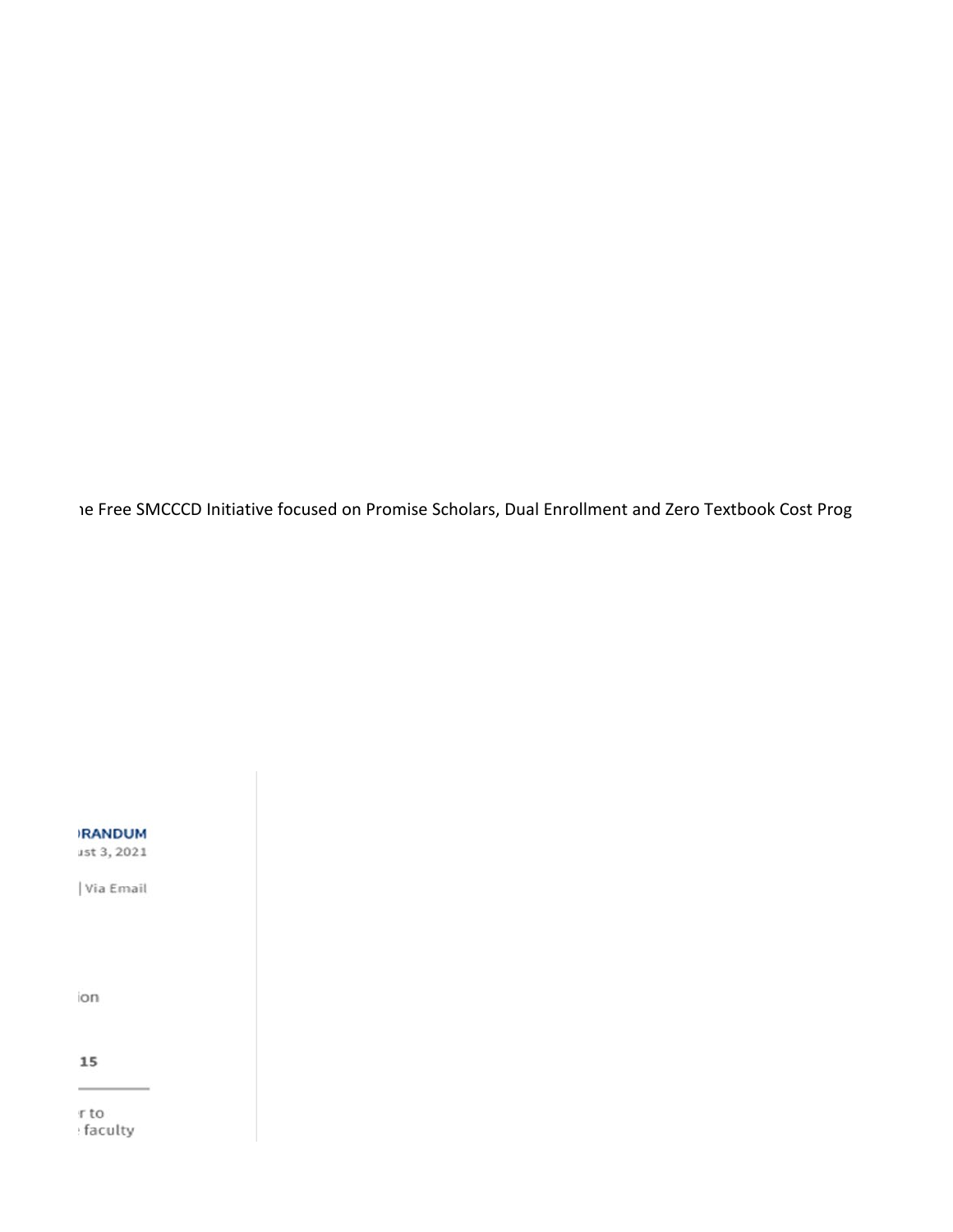ie Free SMCCCD Initiative focused on Promise Scholars, Dual Enrollment and Zero Textbook Cost Prog

**RANDUM** 

ist 3, 2021

Via Email

on

15

r to faculty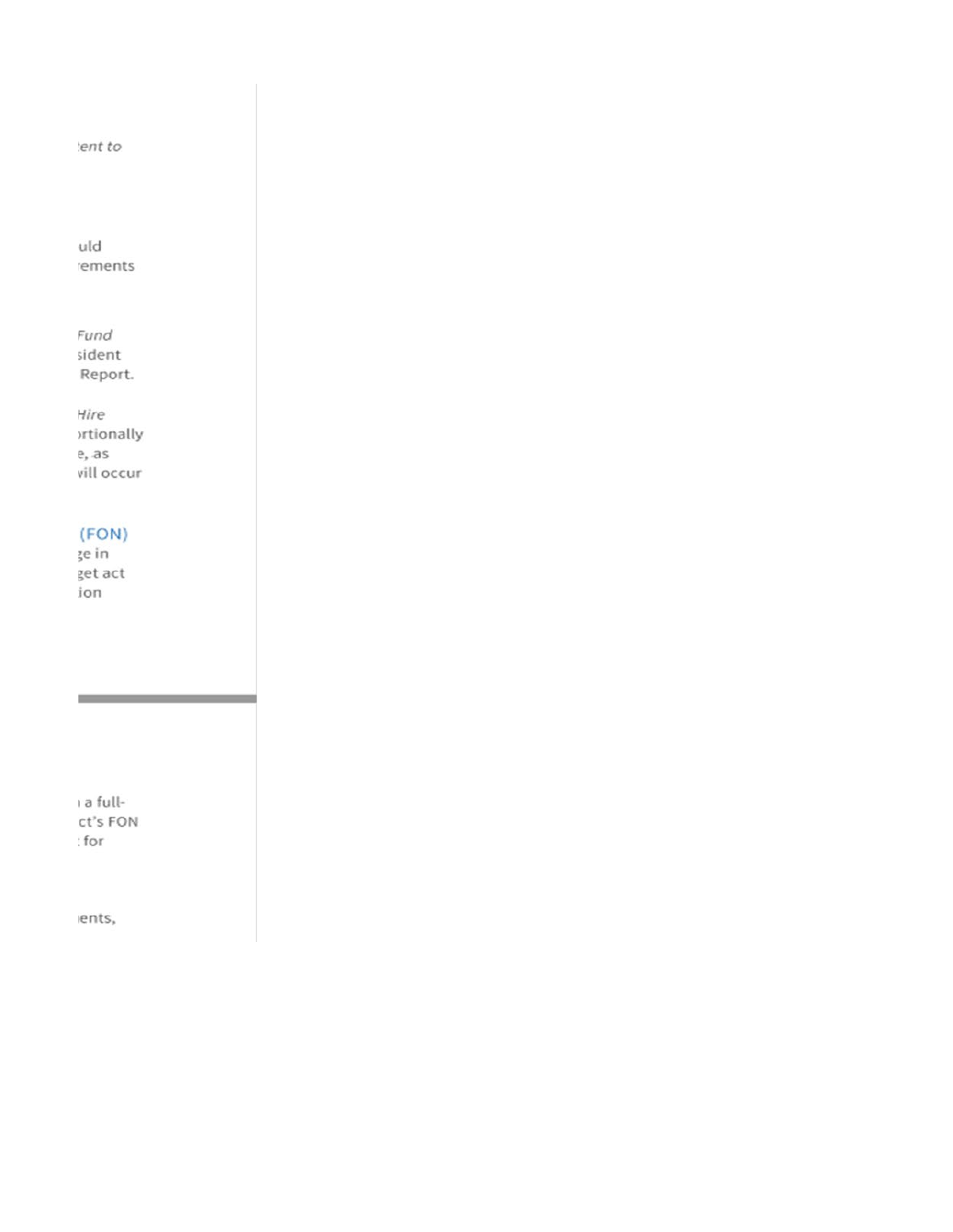ent to

uld ements

Fund sident Report.

Hire *ortionally* e, as vill occur

# (FON)

țe in get act ion

a fullct's FON for

the control of the control of the

ents,